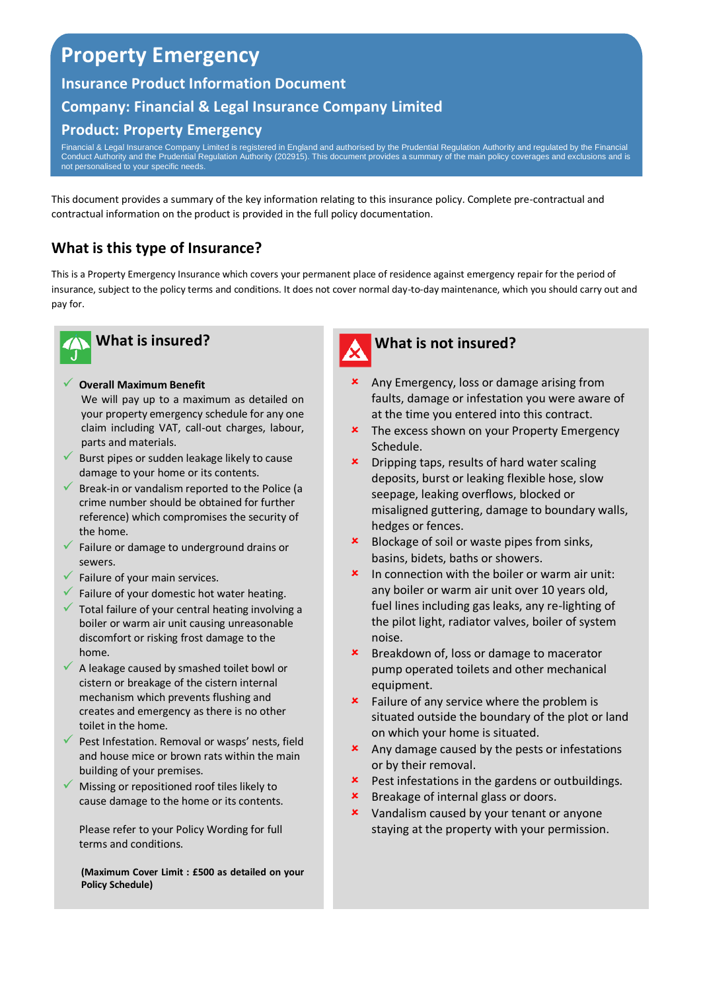# **Property Emergency**

## **Insurance Product Information Document Company: Financial & Legal Insurance Company Limited Product: Property Emergency**

Financial & Legal Insurance Company Limited is registered in England and authorised by the Prudential Regulation Authority and regulated by the Financial<br>Conduct Authority and the Prudential Regulation Authority (202915). not personalised to your specific needs.

This document provides a summary of the key information relating to this insurance policy. Complete pre-contractual and contractual information on the product is provided in the full policy documentation.

### **What is this type of Insurance?**

This is a Property Emergency Insurance which covers your permanent place of residence against emergency repair for the period of insurance, subject to the policy terms and conditions. It does not cover normal day-to-day maintenance, which you should carry out and pay for.



## **What is insured?**

#### ✓ **Overall Maximum Benefit**

We will pay up to a maximum as detailed on your property emergency schedule for any one claim including VAT, call-out charges, labour, parts and materials.

- $\checkmark$  Burst pipes or sudden leakage likely to cause damage to your home or its contents.
- $\checkmark$  Break-in or vandalism reported to the Police (a crime number should be obtained for further reference) which compromises the security of the home.
- ✓ Failure or damage to underground drains or sewers.
- $\checkmark$  Failure of your main services.
- $\checkmark$  Failure of your domestic hot water heating.
- $\checkmark$  Total failure of your central heating involving a boiler or warm air unit causing unreasonable discomfort or risking frost damage to the home.
- $\checkmark$  A leakage caused by smashed toilet bowl or cistern or breakage of the cistern internal mechanism which prevents flushing and creates and emergency as there is no other toilet in the home.
- ✓ Pest Infestation. Removal or wasps' nests, field and house mice or brown rats within the main building of your premises.
- ✓ Missing or repositioned roof tiles likely to cause damage to the home or its contents.

Please refer to your Policy Wording for full terms and conditions.

**(Maximum Cover Limit : £500 as detailed on your Policy Schedule)**



#### **What is not insured?**

- **x** Any Emergency, loss or damage arising from faults, damage or infestation you were aware of at the time you entered into this contract.
- **\*** The excess shown on your Property Emergency Schedule.
- **\*** Dripping taps, results of hard water scaling deposits, burst or leaking flexible hose, slow seepage, leaking overflows, blocked or misaligned guttering, damage to boundary walls, hedges or fences.
- **\*** Blockage of soil or waste pipes from sinks, basins, bidets, baths or showers.
- $\vert x \vert$  In connection with the boiler or warm air unit: any boiler or warm air unit over 10 years old, fuel lines including gas leaks, any re-lighting of the pilot light, radiator valves, boiler of system noise.
- **\*** Breakdown of, loss or damage to macerator pump operated toilets and other mechanical equipment.
- $\star$  Failure of any service where the problem is situated outside the boundary of the plot or land on which your home is situated.
- $\boldsymbol{\times}$  Any damage caused by the pests or infestations or by their removal.
- **\*** Pest infestations in the gardens or outbuildings.
- **\*** Breakage of internal glass or doors.
- **x** Vandalism caused by your tenant or anyone staying at the property with your permission.